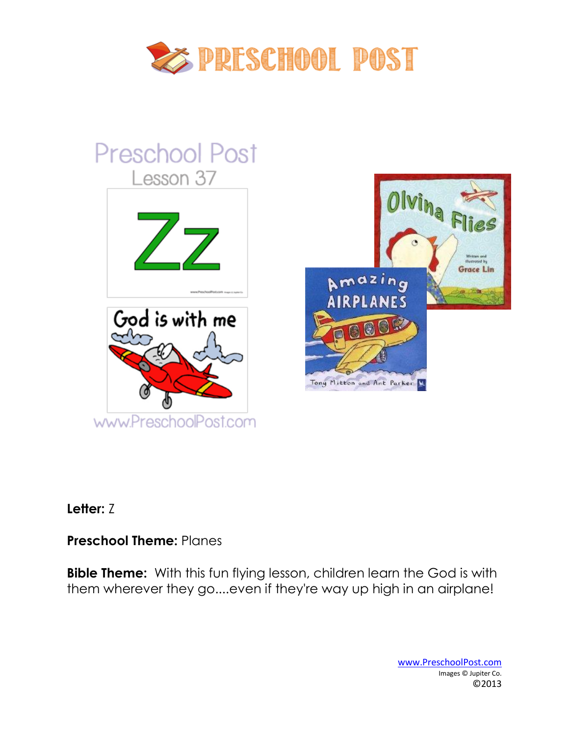

# **Preschool Post** Lesson 37





# **Letter:** Z

# **Preschool Theme:** Planes

**Bible Theme:** With this fun flying lesson, children learn the God is with them wherever they go....even if they're way up high in an airplane!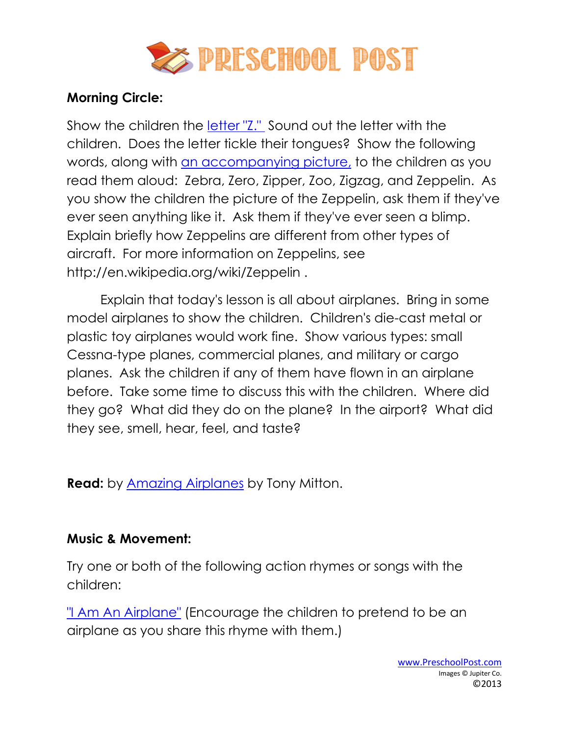

## **Morning Circle:**

Show the children the [letter "Z."](http://www.preschoolpost.com/JunePlanes.html) Sound out the letter with the children. Does the letter tickle their tongues? Show the following words, along with [an accompanying picture,](http://www.preschoolpost.com/JunePlanes.html) to the children as you read them aloud: Zebra, Zero, Zipper, Zoo, Zigzag, and Zeppelin. As you show the children the picture of the Zeppelin, ask them if they've ever seen anything like it. Ask them if they've ever seen a blimp. Explain briefly how Zeppelins are different from other types of aircraft. For more information on Zeppelins, see http://en.wikipedia.org/wiki/Zeppelin .

Explain that today's lesson is all about airplanes. Bring in some model airplanes to show the children. Children's die-cast metal or plastic toy airplanes would work fine. Show various types: small Cessna-type planes, commercial planes, and military or cargo planes. Ask the children if any of them have flown in an airplane before. Take some time to discuss this with the children. Where did they go? What did they do on the plane? In the airport? What did they see, smell, hear, feel, and taste?

**Read:** by [Amazing Airplanes](http://www.amazon.com/dp/0753459159?tag=groovstory-20&camp=14573&creative=327641&linkCode=as1&creativeASIN=0753459159&adid=1MAWD8S1BGH046WFGNZ1&ref-refURL=) by Tony Mitton.

#### **Music & Movement:**

Try one or both of the following action rhymes or songs with the children:

["I Am An Airplane"](http://www.preschoolpost.com/JunePlanes.html) (Encourage the children to pretend to be an airplane as you share this rhyme with them.)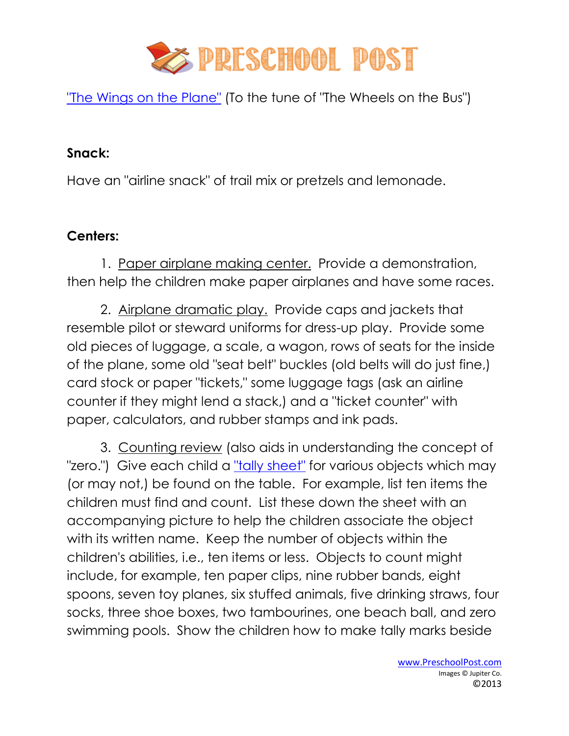

["The Wings on the Plane"](http://www.preschoolpost.com/JunePlanes.html) (To the tune of "The Wheels on the Bus")

## **Snack:**

Have an "airline snack" of trail mix or pretzels and lemonade.

## **Centers:**

1. Paper airplane making center. Provide a demonstration, then help the children make paper airplanes and have some races.

2. Airplane dramatic play. Provide caps and jackets that resemble pilot or steward uniforms for dress-up play. Provide some old pieces of luggage, a scale, a wagon, rows of seats for the inside of the plane, some old "seat belt" buckles (old belts will do just fine,) card stock or paper "tickets," some luggage tags (ask an airline counter if they might lend a stack,) and a "ticket counter" with paper, calculators, and rubber stamps and ink pads.

3. Counting review (also aids in understanding the concept of "zero.") Give each child a ["tally sheet"](http://www.preschoolpost.com/JunePlanes.html) for various objects which may (or may not,) be found on the table. For example, list ten items the children must find and count. List these down the sheet with an accompanying picture to help the children associate the object with its written name. Keep the number of objects within the children's abilities, i.e., ten items or less. Objects to count might include, for example, ten paper clips, nine rubber bands, eight spoons, seven toy planes, six stuffed animals, five drinking straws, four socks, three shoe boxes, two tambourines, one beach ball, and zero swimming pools. Show the children how to make tally marks beside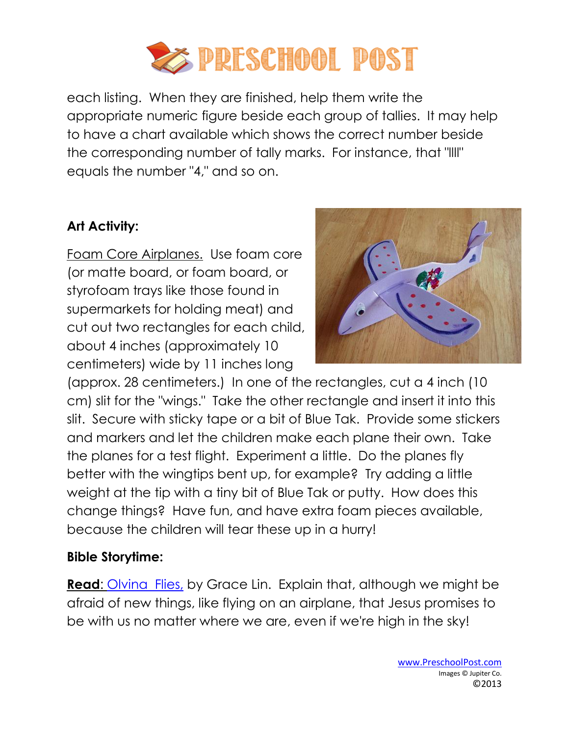

each listing. When they are finished, help them write the appropriate numeric figure beside each group of tallies. It may help to have a chart available which shows the correct number beside the corresponding number of tally marks. For instance, that "llll" equals the number "4," and so on.

# **Art Activity:**

Foam Core Airplanes. Use foam core (or matte board, or foam board, or styrofoam trays like those found in supermarkets for holding meat) and cut out two rectangles for each child, about 4 inches (approximately 10 centimeters) wide by 11 inches long



(approx. 28 centimeters.) In one of the rectangles, cut a 4 inch (10 cm) slit for the "wings." Take the other rectangle and insert it into this slit. Secure with sticky tape or a bit of Blue Tak. Provide some stickers and markers and let the children make each plane their own. Take the planes for a test flight. Experiment a little. Do the planes fly better with the wingtips bent up, for example? Try adding a little weight at the tip with a tiny bit of Blue Tak or putty. How does this change things? Have fun, and have extra foam pieces available, because the children will tear these up in a hurry!

#### **Bible Storytime:**

**Read:** [Olvina Flies,](http://www.amazon.com/dp/0805067116?tag=groovstory-20&camp=14573&creative=327641&linkCode=as1&creativeASIN=0805067116&adid=1PNYVA4G2WFACJHW1S66&ref-refURL=) by Grace Lin. Explain that, although we might be afraid of new things, like flying on an airplane, that Jesus promises to be with us no matter where we are, even if we're high in the sky!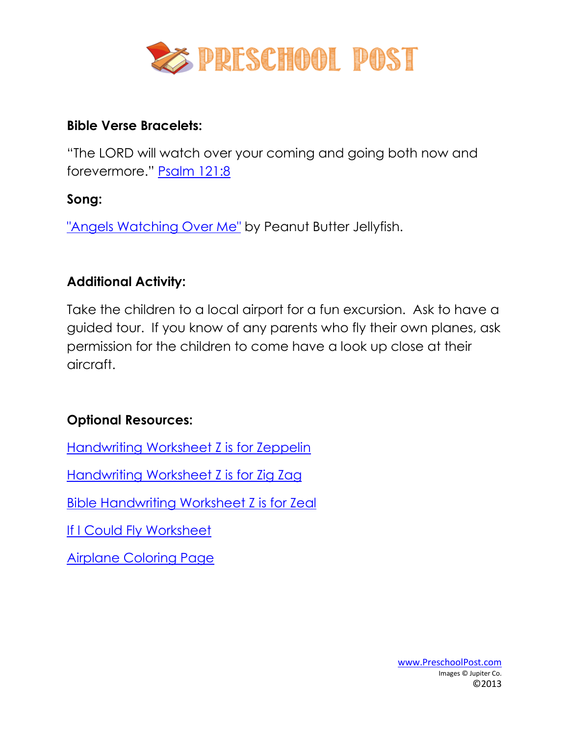

### **Bible Verse Bracelets:**

"The LORD will watch over your coming and going both now and forevermore." [Psalm 121:8](http://www.preschoolpost.com/JunePlanes.html)

# **Song:**

["Angels Watching Over Me"](http://www.amazon.com/dp/B000MGTH4C?tag=groovstory-20&camp=14573&creative=327641&linkCode=as1&creativeASIN=B000MGTH4C&adid=0K8MXBWVHQY354EQ4B60&ref-refURL=http%3A%2F%2Frcm.amazon.com%2Fe%2Fcm%3Ft%3Dgroovstory-20%26o%3D1%26p%3D8%26l%3Das1%26asins%3DB000MGTH4C%26fc) by Peanut Butter Jellyfish.

# **Additional Activity:**

Take the children to a local airport for a fun excursion. Ask to have a guided tour. If you know of any parents who fly their own planes, ask permission for the children to come have a look up close at their aircraft.

# **Optional Resources:**

[Handwriting Worksheet Z is for Zeppelin](http://www.preschoolpost.com/JunePlanes.html)

[Handwriting Worksheet Z is for Zig Zag](http://www.preschoolpost.com/JunePlanes.html)

[Bible Handwriting Worksheet Z is for Zeal](http://www.preschoolpost.com/JunePlanes.html)

[If I Could Fly Worksheet](http://www.preschoolpost.com/JunePlanes.html)

[Airplane Coloring Page](http://www.preschoolpost.com/JunePlanes.html)